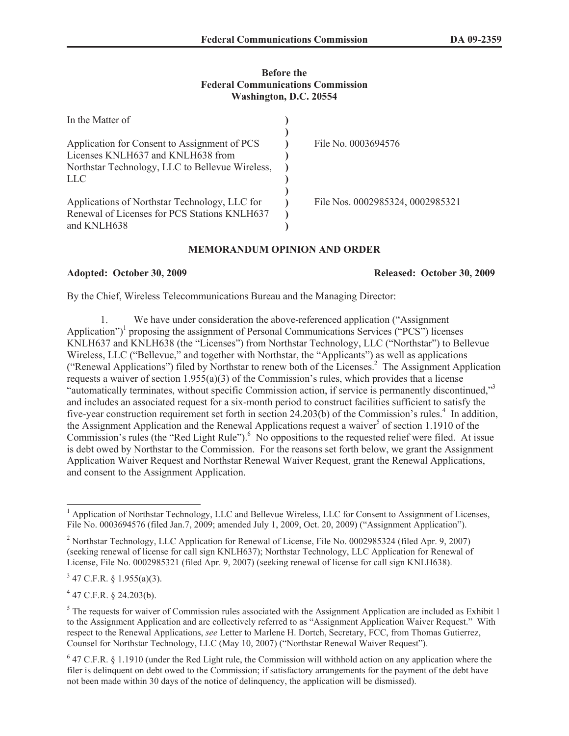# **Before the Federal Communications Commission Washington, D.C. 20554**

| In the Matter of                                |                                  |
|-------------------------------------------------|----------------------------------|
|                                                 |                                  |
| Application for Consent to Assignment of PCS    | File No. 0003694576              |
| Licenses KNLH637 and KNLH638 from               |                                  |
| Northstar Technology, LLC to Bellevue Wireless, |                                  |
| LLC                                             |                                  |
|                                                 |                                  |
| Applications of Northstar Technology, LLC for   | File Nos. 0002985324, 0002985321 |
| Renewal of Licenses for PCS Stations KNLH637    |                                  |
| and KNLH638                                     |                                  |

# **MEMORANDUM OPINION AND ORDER**

### **Adopted: October 30, 2009 Released: October 30, 2009**

By the Chief, Wireless Telecommunications Bureau and the Managing Director:

1. We have under consideration the above-referenced application ("Assignment Application")<sup>1</sup> proposing the assignment of Personal Communications Services ("PCS") licenses KNLH637 and KNLH638 (the "Licenses") from Northstar Technology, LLC ("Northstar") to Bellevue Wireless, LLC ("Bellevue," and together with Northstar, the "Applicants") as well as applications ("Renewal Applications") filed by Northstar to renew both of the Licenses.<sup>2</sup> The Assignment Application requests a waiver of section 1.955(a)(3) of the Commission's rules, which provides that a license "automatically terminates, without specific Commission action, if service is permanently discontinued,"<sup>3</sup> and includes an associated request for a six-month period to construct facilities sufficient to satisfy the five-year construction requirement set forth in section  $24.203(b)$  of the Commission's rules.<sup>4</sup> In addition, the Assignment Application and the Renewal Applications request a waiver<sup>5</sup> of section 1.1910 of the Commission's rules (the "Red Light Rule").<sup>6</sup> No oppositions to the requested relief were filed. At issue is debt owed by Northstar to the Commission. For the reasons set forth below, we grant the Assignment Application Waiver Request and Northstar Renewal Waiver Request, grant the Renewal Applications, and consent to the Assignment Application.

 $4$  47 C.F.R. § 24.203(b).

<sup>&</sup>lt;sup>1</sup> Application of Northstar Technology, LLC and Bellevue Wireless, LLC for Consent to Assignment of Licenses, File No. 0003694576 (filed Jan.7, 2009; amended July 1, 2009, Oct. 20, 2009) ("Assignment Application").

<sup>&</sup>lt;sup>2</sup> Northstar Technology, LLC Application for Renewal of License, File No. 0002985324 (filed Apr. 9, 2007) (seeking renewal of license for call sign KNLH637); Northstar Technology, LLC Application for Renewal of License, File No. 0002985321 (filed Apr. 9, 2007) (seeking renewal of license for call sign KNLH638).

 $3$  47 C.F.R. § 1.955(a)(3).

 $5$  The requests for waiver of Commission rules associated with the Assignment Application are included as Exhibit 1 to the Assignment Application and are collectively referred to as "Assignment Application Waiver Request." With respect to the Renewal Applications, *see* Letter to Marlene H. Dortch, Secretary, FCC, from Thomas Gutierrez, Counsel for Northstar Technology, LLC (May 10, 2007) ("Northstar Renewal Waiver Request").

 $6$  47 C.F.R. § 1.1910 (under the Red Light rule, the Commission will withhold action on any application where the filer is delinquent on debt owed to the Commission; if satisfactory arrangements for the payment of the debt have not been made within 30 days of the notice of delinquency, the application will be dismissed).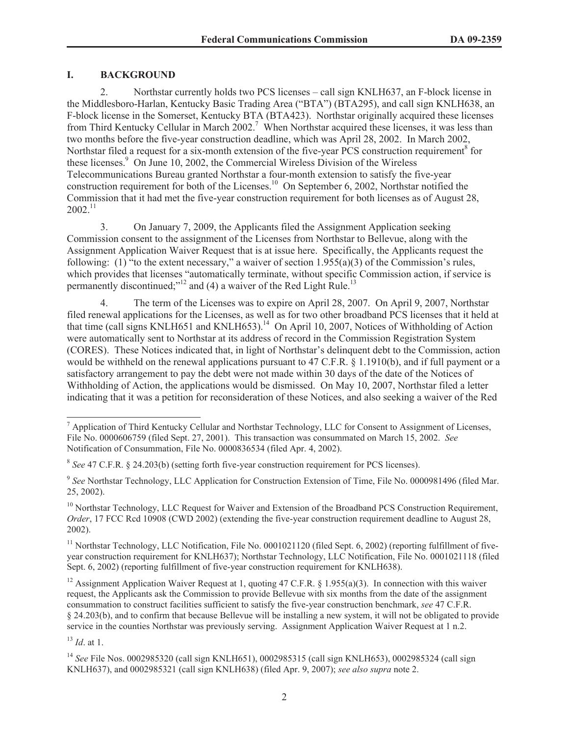# **I. BACKGROUND**

2. Northstar currently holds two PCS licenses – call sign KNLH637, an F-block license in the Middlesboro-Harlan, Kentucky Basic Trading Area ("BTA") (BTA295), and call sign KNLH638, an F-block license in the Somerset, Kentucky BTA (BTA423). Northstar originally acquired these licenses from Third Kentucky Cellular in March 2002.<sup>7</sup> When Northstar acquired these licenses, it was less than two months before the five-year construction deadline, which was April 28, 2002. In March 2002, Northstar filed a request for a six-month extension of the five-year PCS construction requirement<sup>8</sup> for these licenses.<sup>9</sup> On June 10, 2002, the Commercial Wireless Division of the Wireless Telecommunications Bureau granted Northstar a four-month extension to satisfy the five-year construction requirement for both of the Licenses.<sup>10</sup> On September 6, 2002, Northstar notified the Commission that it had met the five-year construction requirement for both licenses as of August 28,  $2002.<sup>11</sup>$ 

3. On January 7, 2009, the Applicants filed the Assignment Application seeking Commission consent to the assignment of the Licenses from Northstar to Bellevue, along with the Assignment Application Waiver Request that is at issue here. Specifically, the Applicants request the following: (1) "to the extent necessary," a waiver of section  $1.955(a)(3)$  of the Commission's rules, which provides that licenses "automatically terminate, without specific Commission action, if service is permanently discontinued; $^{12}$  and (4) a waiver of the Red Light Rule.<sup>13</sup>

4. The term of the Licenses was to expire on April 28, 2007. On April 9, 2007, Northstar filed renewal applications for the Licenses, as well as for two other broadband PCS licenses that it held at that time (call signs KNLH651 and KNLH653).<sup>14</sup> On April 10, 2007, Notices of Withholding of Action were automatically sent to Northstar at its address of record in the Commission Registration System (CORES). These Notices indicated that, in light of Northstar's delinquent debt to the Commission, action would be withheld on the renewal applications pursuant to 47 C.F.R. § 1.1910(b), and if full payment or a satisfactory arrangement to pay the debt were not made within 30 days of the date of the Notices of Withholding of Action, the applications would be dismissed. On May 10, 2007, Northstar filed a letter indicating that it was a petition for reconsideration of these Notices, and also seeking a waiver of the Red

<sup>13</sup> *Id*. at 1.

<sup>7</sup> Application of Third Kentucky Cellular and Northstar Technology, LLC for Consent to Assignment of Licenses, File No. 0000606759 (filed Sept. 27, 2001). This transaction was consummated on March 15, 2002. *See* Notification of Consummation, File No. 0000836534 (filed Apr. 4, 2002).

<sup>8</sup> *See* 47 C.F.R. § 24.203(b) (setting forth five-year construction requirement for PCS licenses).

<sup>9</sup> *See* Northstar Technology, LLC Application for Construction Extension of Time, File No. 0000981496 (filed Mar. 25, 2002).

<sup>&</sup>lt;sup>10</sup> Northstar Technology, LLC Request for Waiver and Extension of the Broadband PCS Construction Requirement. *Order*, 17 FCC Rcd 10908 (CWD 2002) (extending the five-year construction requirement deadline to August 28, 2002).

 $11$  Northstar Technology, LLC Notification, File No. 0001021120 (filed Sept. 6, 2002) (reporting fulfillment of fiveyear construction requirement for KNLH637); Northstar Technology, LLC Notification, File No. 0001021118 (filed Sept. 6, 2002) (reporting fulfillment of five-year construction requirement for KNLH638).

<sup>&</sup>lt;sup>12</sup> Assignment Application Waiver Request at 1, quoting 47 C.F.R. § 1.955(a)(3). In connection with this waiver request, the Applicants ask the Commission to provide Bellevue with six months from the date of the assignment consummation to construct facilities sufficient to satisfy the five-year construction benchmark, *see* 47 C.F.R. § 24.203(b), and to confirm that because Bellevue will be installing a new system, it will not be obligated to provide service in the counties Northstar was previously serving. Assignment Application Waiver Request at 1 n.2.

<sup>&</sup>lt;sup>14</sup> See File Nos. 0002985320 (call sign KNLH651), 0002985315 (call sign KNLH653), 0002985324 (call sign KNLH637), and 0002985321 (call sign KNLH638) (filed Apr. 9, 2007); *see also supra* note 2.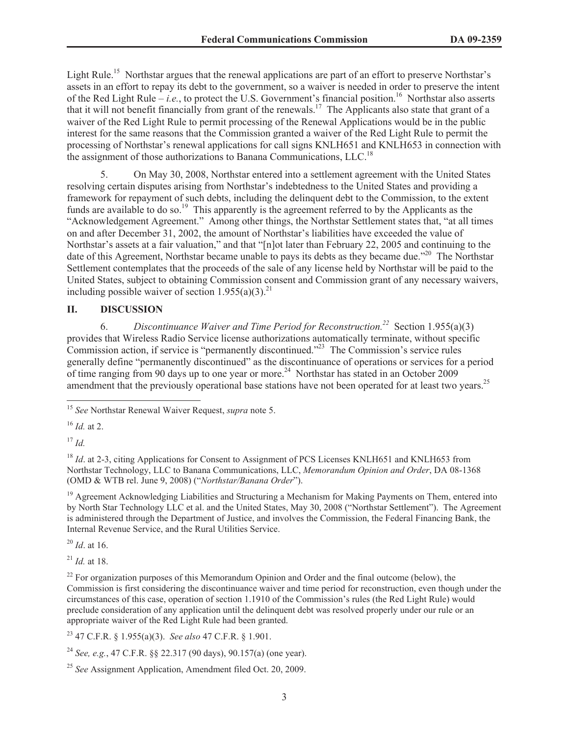Light Rule.<sup>15</sup> Northstar argues that the renewal applications are part of an effort to preserve Northstar's assets in an effort to repay its debt to the government, so a waiver is needed in order to preserve the intent of the Red Light Rule – *i.e.*, to protect the U.S. Government's financial position.<sup>16</sup> Northstar also asserts that it will not benefit financially from grant of the renewals.<sup>17</sup> The Applicants also state that grant of a waiver of the Red Light Rule to permit processing of the Renewal Applications would be in the public interest for the same reasons that the Commission granted a waiver of the Red Light Rule to permit the processing of Northstar's renewal applications for call signs KNLH651 and KNLH653 in connection with the assignment of those authorizations to Banana Communications,  $LLC$ <sup>18</sup>

5. On May 30, 2008, Northstar entered into a settlement agreement with the United States resolving certain disputes arising from Northstar's indebtedness to the United States and providing a framework for repayment of such debts, including the delinquent debt to the Commission, to the extent funds are available to do so.<sup>19</sup> This apparently is the agreement referred to by the Applicants as the "Acknowledgement Agreement." Among other things, the Northstar Settlement states that, "at all times on and after December 31, 2002, the amount of Northstar's liabilities have exceeded the value of Northstar's assets at a fair valuation," and that "[n]ot later than February 22, 2005 and continuing to the date of this Agreement, Northstar became unable to pays its debts as they became due."<sup>20</sup> The Northstar Settlement contemplates that the proceeds of the sale of any license held by Northstar will be paid to the United States, subject to obtaining Commission consent and Commission grant of any necessary waivers, including possible waiver of section  $1.955(a)(3)$ <sup>21</sup>

# **II. DISCUSSION**

6. *Discontinuance Waiver and Time Period for Reconstruction.<sup>22</sup>* Section 1.955(a)(3) provides that Wireless Radio Service license authorizations automatically terminate, without specific Commission action, if service is "permanently discontinued."<sup>23</sup> The Commission's service rules generally define "permanently discontinued" as the discontinuance of operations or services for a period of time ranging from 90 days up to one year or more.<sup>24</sup> Northstar has stated in an October 2009 amendment that the previously operational base stations have not been operated for at least two years.<sup>25</sup>

<sup>16</sup> *Id.* at 2.

<sup>17</sup> *Id.*

<sup>18</sup> *Id.* at 2-3, citing Applications for Consent to Assignment of PCS Licenses KNLH651 and KNLH653 from Northstar Technology, LLC to Banana Communications, LLC, *Memorandum Opinion and Order*, DA 08-1368 (OMD & WTB rel. June 9, 2008) ("*Northstar/Banana Order*").

<sup>19</sup> Agreement Acknowledging Liabilities and Structuring a Mechanism for Making Payments on Them, entered into by North Star Technology LLC et al. and the United States, May 30, 2008 ("Northstar Settlement"). The Agreement is administered through the Department of Justice, and involves the Commission, the Federal Financing Bank, the Internal Revenue Service, and the Rural Utilities Service.

<sup>20</sup> *Id*. at 16.

<sup>21</sup> *Id.* at 18.

 $22$  For organization purposes of this Memorandum Opinion and Order and the final outcome (below), the Commission is first considering the discontinuance waiver and time period for reconstruction, even though under the circumstances of this case, operation of section 1.1910 of the Commission's rules (the Red Light Rule) would preclude consideration of any application until the delinquent debt was resolved properly under our rule or an appropriate waiver of the Red Light Rule had been granted.

<sup>23</sup> 47 C.F.R. § 1.955(a)(3). *See also* 47 C.F.R. § 1.901.

<sup>24</sup> *See, e.g.*, 47 C.F.R. §§ 22.317 (90 days), 90.157(a) (one year).

<sup>15</sup> *See* Northstar Renewal Waiver Request, *supra* note 5.

<sup>25</sup> *See* Assignment Application, Amendment filed Oct. 20, 2009.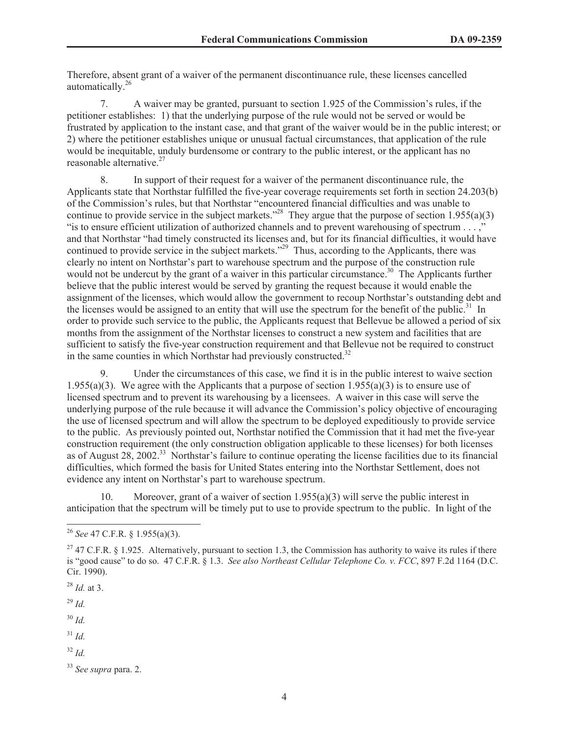Therefore, absent grant of a waiver of the permanent discontinuance rule, these licenses cancelled automatically.<sup>26</sup>

7. A waiver may be granted, pursuant to section 1.925 of the Commission's rules, if the petitioner establishes: 1) that the underlying purpose of the rule would not be served or would be frustrated by application to the instant case, and that grant of the waiver would be in the public interest; or 2) where the petitioner establishes unique or unusual factual circumstances, that application of the rule would be inequitable, unduly burdensome or contrary to the public interest, or the applicant has no reasonable alternative.<sup>27</sup>

8. In support of their request for a waiver of the permanent discontinuance rule, the Applicants state that Northstar fulfilled the five-year coverage requirements set forth in section 24.203(b) of the Commission's rules, but that Northstar "encountered financial difficulties and was unable to continue to provide service in the subject markets."<sup>28</sup> They argue that the purpose of section  $1.955(a)(3)$ " is to ensure efficient utilization of authorized channels and to prevent warehousing of spectrum  $\ldots$ ," and that Northstar "had timely constructed its licenses and, but for its financial difficulties, it would have continued to provide service in the subject markets."<sup>29</sup> Thus, according to the Applicants, there was clearly no intent on Northstar's part to warehouse spectrum and the purpose of the construction rule would not be undercut by the grant of a waiver in this particular circumstance.<sup>30</sup> The Applicants further believe that the public interest would be served by granting the request because it would enable the assignment of the licenses, which would allow the government to recoup Northstar's outstanding debt and the licenses would be assigned to an entity that will use the spectrum for the benefit of the public.<sup>31</sup> In order to provide such service to the public, the Applicants request that Bellevue be allowed a period of six months from the assignment of the Northstar licenses to construct a new system and facilities that are sufficient to satisfy the five-year construction requirement and that Bellevue not be required to construct in the same counties in which Northstar had previously constructed.<sup>32</sup>

9. Under the circumstances of this case, we find it is in the public interest to waive section 1.955(a)(3). We agree with the Applicants that a purpose of section 1.955(a)(3) is to ensure use of licensed spectrum and to prevent its warehousing by a licensees. A waiver in this case will serve the underlying purpose of the rule because it will advance the Commission's policy objective of encouraging the use of licensed spectrum and will allow the spectrum to be deployed expeditiously to provide service to the public. As previously pointed out, Northstar notified the Commission that it had met the five-year construction requirement (the only construction obligation applicable to these licenses) for both licenses as of August 28, 2002.<sup>33</sup> Northstar's failure to continue operating the license facilities due to its financial difficulties, which formed the basis for United States entering into the Northstar Settlement, does not evidence any intent on Northstar's part to warehouse spectrum.

10. Moreover, grant of a waiver of section 1.955(a)(3) will serve the public interest in anticipation that the spectrum will be timely put to use to provide spectrum to the public. In light of the

<sup>28</sup> *Id.* at 3.

- <sup>29</sup> *Id.*
- <sup>30</sup> *Id.*
- <sup>31</sup> *Id.*
- <sup>32</sup> *Id.*

<sup>26</sup> *See* 47 C.F.R. § 1.955(a)(3).

<sup>&</sup>lt;sup>27</sup> 47 C.F.R. § 1.925. Alternatively, pursuant to section 1.3, the Commission has authority to waive its rules if there is "good cause" to do so. 47 C.F.R. § 1.3. *See also Northeast Cellular Telephone Co. v. FCC*, 897 F.2d 1164 (D.C. Cir. 1990).

<sup>33</sup> *See supra* para. 2.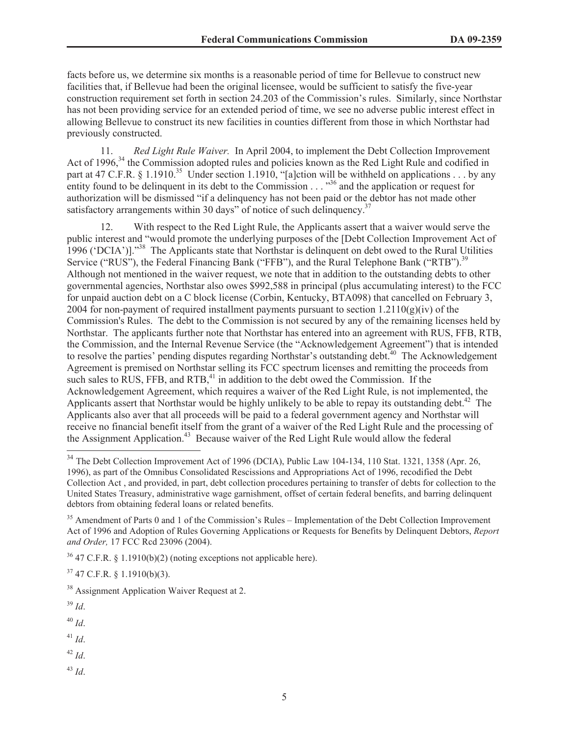facts before us, we determine six months is a reasonable period of time for Bellevue to construct new facilities that, if Bellevue had been the original licensee, would be sufficient to satisfy the five-year construction requirement set forth in section 24.203 of the Commission's rules. Similarly, since Northstar has not been providing service for an extended period of time, we see no adverse public interest effect in allowing Bellevue to construct its new facilities in counties different from those in which Northstar had previously constructed.

11. *Red Light Rule Waiver.* In April 2004, to implement the Debt Collection Improvement Act of 1996,<sup>34</sup> the Commission adopted rules and policies known as the Red Light Rule and codified in part at 47 C.F.R. § 1.1910.<sup>35</sup> Under section 1.1910, "[a]ction will be withheld on applications . . . by any entity found to be delinquent in its debt to the Commission . . . "<sup>36</sup> and the application or request for authorization will be dismissed "if a delinquency has not been paid or the debtor has not made other satisfactory arrangements within 30 days" of notice of such delinquency. $37$ 

12. With respect to the Red Light Rule, the Applicants assert that a waiver would serve the public interest and "would promote the underlying purposes of the [Debt Collection Improvement Act of 1996 ('DCIA')]."<sup>38</sup> The Applicants state that Northstar is delinquent on debt owed to the Rural Utilities Service ("RUS"), the Federal Financing Bank ("FFB"), and the Rural Telephone Bank ("RTB").<sup>39</sup> Although not mentioned in the waiver request, we note that in addition to the outstanding debts to other governmental agencies, Northstar also owes \$992,588 in principal (plus accumulating interest) to the FCC for unpaid auction debt on a C block license (Corbin, Kentucky, BTA098) that cancelled on February 3, 2004 for non-payment of required installment payments pursuant to section  $1.2110(g)(iv)$  of the Commission's Rules. The debt to the Commission is not secured by any of the remaining licenses held by Northstar. The applicants further note that Northstar has entered into an agreement with RUS, FFB, RTB, the Commission, and the Internal Revenue Service (the "Acknowledgement Agreement") that is intended to resolve the parties' pending disputes regarding Northstar's outstanding debt.<sup>40</sup> The Acknowledgement Agreement is premised on Northstar selling its FCC spectrum licenses and remitting the proceeds from such sales to RUS, FFB, and RTB, $41$  in addition to the debt owed the Commission. If the Acknowledgement Agreement, which requires a waiver of the Red Light Rule, is not implemented, the Applicants assert that Northstar would be highly unlikely to be able to repay its outstanding debt.<sup>42</sup> The Applicants also aver that all proceeds will be paid to a federal government agency and Northstar will receive no financial benefit itself from the grant of a waiver of the Red Light Rule and the processing of the Assignment Application.<sup>43</sup> Because waiver of the Red Light Rule would allow the federal

<sup>39</sup> *Id*.

<sup>40</sup> *Id*.

<sup>41</sup> *Id*.

- $42$  *Id.*
- <sup>43</sup> *Id*.

<sup>&</sup>lt;sup>34</sup> The Debt Collection Improvement Act of 1996 (DCIA), Public Law 104-134, 110 Stat. 1321, 1358 (Apr. 26, 1996), as part of the Omnibus Consolidated Rescissions and Appropriations Act of 1996, recodified the Debt Collection Act , and provided, in part, debt collection procedures pertaining to transfer of debts for collection to the United States Treasury, administrative wage garnishment, offset of certain federal benefits, and barring delinquent debtors from obtaining federal loans or related benefits.

<sup>&</sup>lt;sup>35</sup> Amendment of Parts 0 and 1 of the Commission's Rules – Implementation of the Debt Collection Improvement Act of 1996 and Adoption of Rules Governing Applications or Requests for Benefits by Delinquent Debtors, *Report and Order,* 17 FCC Rcd 23096 (2004).

 $36$  47 C.F.R. § 1.1910(b)(2) (noting exceptions not applicable here).

 $37,47$  C.F.R.  $$1,1910(b)(3)$ .

<sup>&</sup>lt;sup>38</sup> Assignment Application Waiver Request at 2.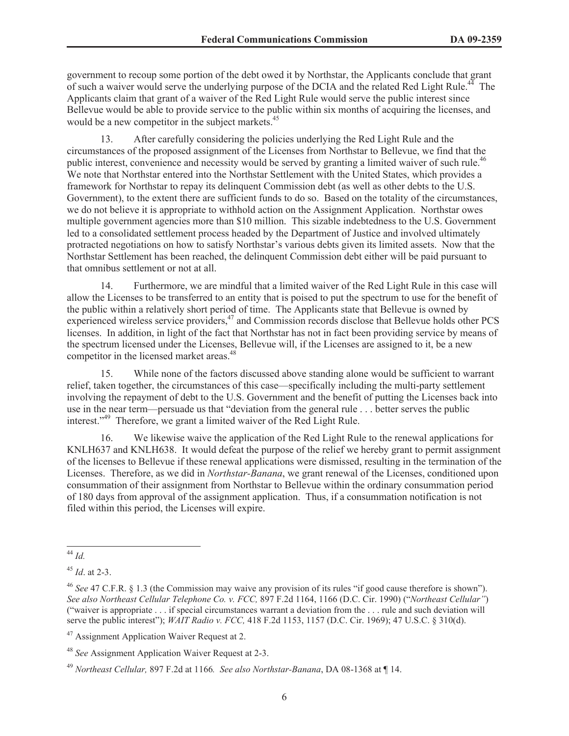government to recoup some portion of the debt owed it by Northstar, the Applicants conclude that grant of such a waiver would serve the underlying purpose of the DCIA and the related Red Light Rule.<sup>44</sup> The Applicants claim that grant of a waiver of the Red Light Rule would serve the public interest since Bellevue would be able to provide service to the public within six months of acquiring the licenses, and would be a new competitor in the subject markets.<sup>45</sup>

13. After carefully considering the policies underlying the Red Light Rule and the circumstances of the proposed assignment of the Licenses from Northstar to Bellevue, we find that the public interest, convenience and necessity would be served by granting a limited waiver of such rule.<sup>46</sup> We note that Northstar entered into the Northstar Settlement with the United States, which provides a framework for Northstar to repay its delinquent Commission debt (as well as other debts to the U.S. Government), to the extent there are sufficient funds to do so. Based on the totality of the circumstances, we do not believe it is appropriate to withhold action on the Assignment Application. Northstar owes multiple government agencies more than \$10 million. This sizable indebtedness to the U.S. Government led to a consolidated settlement process headed by the Department of Justice and involved ultimately protracted negotiations on how to satisfy Northstar's various debts given its limited assets. Now that the Northstar Settlement has been reached, the delinquent Commission debt either will be paid pursuant to that omnibus settlement or not at all.

14. Furthermore, we are mindful that a limited waiver of the Red Light Rule in this case will allow the Licenses to be transferred to an entity that is poised to put the spectrum to use for the benefit of the public within a relatively short period of time. The Applicants state that Bellevue is owned by experienced wireless service providers,<sup>47</sup> and Commission records disclose that Bellevue holds other PCS licenses. In addition, in light of the fact that Northstar has not in fact been providing service by means of the spectrum licensed under the Licenses, Bellevue will, if the Licenses are assigned to it, be a new competitor in the licensed market areas.<sup>48</sup>

15. While none of the factors discussed above standing alone would be sufficient to warrant relief, taken together, the circumstances of this case—specifically including the multi-party settlement involving the repayment of debt to the U.S. Government and the benefit of putting the Licenses back into use in the near term—persuade us that "deviation from the general rule . . . better serves the public interest."<sup>49</sup> Therefore, we grant a limited waiver of the Red Light Rule.

16. We likewise waive the application of the Red Light Rule to the renewal applications for KNLH637 and KNLH638. It would defeat the purpose of the relief we hereby grant to permit assignment of the licenses to Bellevue if these renewal applications were dismissed, resulting in the termination of the Licenses. Therefore, as we did in *Northstar-Banana*, we grant renewal of the Licenses, conditioned upon consummation of their assignment from Northstar to Bellevue within the ordinary consummation period of 180 days from approval of the assignment application. Thus, if a consummation notification is not filed within this period, the Licenses will expire.

<sup>44</sup> *Id.*

<sup>45</sup> *Id*. at 2-3.

<sup>46</sup> *See* 47 C.F.R. § 1.3 (the Commission may waive any provision of its rules "if good cause therefore is shown"). *See also Northeast Cellular Telephone Co. v. FCC,* 897 F.2d 1164, 1166 (D.C. Cir. 1990) ("*Northeast Cellular"*) ("waiver is appropriate . . . if special circumstances warrant a deviation from the . . . rule and such deviation will serve the public interest"); *WAIT Radio v. FCC,* 418 F.2d 1153, 1157 (D.C. Cir. 1969); 47 U.S.C. § 310(d).

<sup>47</sup> Assignment Application Waiver Request at 2.

<sup>48</sup> *See* Assignment Application Waiver Request at 2-3.

<sup>49</sup> *Northeast Cellular,* 897 F.2d at 1166*. See also Northstar-Banana*, DA 08-1368 at ¶ 14.